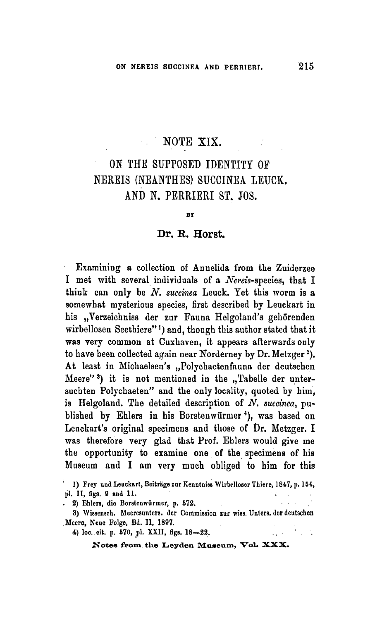## NOTE XIX.

## On the supposed identity of NEREIS (NEANTHES) SUCCINEA LEUCK. and N. Perrieri St. Jos

**BY** 

## Dr. R. Horst

Examining <sup>a</sup> collection of Annelida from the Zuiderzee I met with several individuals of a Nereis-species, that I think can only be  $N$ . succinea Leuck. Yet this worm is a somewhat mysterious species, first described by Leuckart in his "Verzeichniss der zur Fauna Helgoland's gehörenden wirbellosen Seethiere"<sup>1</sup>) and, though this author stated that it was very common at Cuxhaven, it appears afterwards only to have been collected again near Norderney by Dr. Metzger<sup>2</sup>). At least in Michaelsen's "Polychaetenfauna der deutschen Meere"<sup>3</sup>) it is not mentioned in the "Tabelle der unter suchten Polychaeten" and the only locality, quoted by him, is Helgoland. The detailed description of  $N$ . succinea, published by Ehlers in his Borstenwürmer<sup>4</sup>), was based on Leuckart's original specimens and those of Dr. Metzger. I was therefore very glad that Prof. Ehlers would give me the opportunity to examine one of the specimens of his Museum and I am very much obliged to him for this

2) Ehlers, die Borstenwiirmcr, p. 572.

<sup>1)</sup> Frey und Leuckart, Beiträge zur Kenntniss Wirbelloser Thiere, 1847, p. 154, pi. II, figs. <sup>9</sup> and 11.  $\tau$ 

<sup>3)</sup> Wissensch. Meeresunters. der Commission zur wiss. Unters. der deutschen Meere, Neue Eolge, Bd. II, 1897.

<sup>4)</sup> loc. cit. p. 570, pi. XXII, figs. 18—22.

ont. p. 570, pl. XXII, figs. 18—22.<br>Notes from the Leyden Museum, Vol. XXX.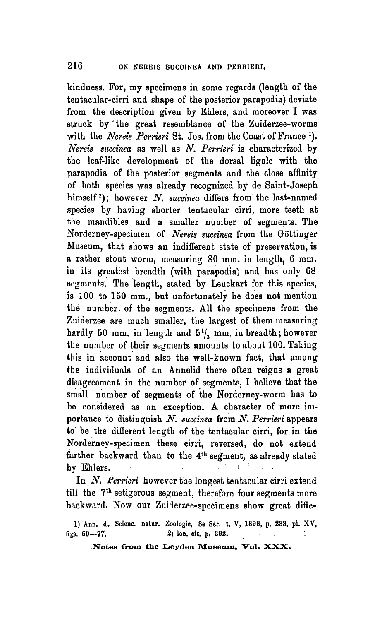kindness. For, my specimens in some regards (length of the tentacular-cirri and shape of the posterior parapodia) deviate from the description given by Ehlers, and moreover I was struck by the great resemblance of the Zuiderzee-worms with the Nereis Perrieri St. Jos. from the Coast of France <sup>1</sup>). Nereis succinea as well as  $N$ . Perrieri is characterized by the leaf-like development of the dorsal ligule with the parapodia of the posterior segments and the close affinity of both species was already recognized by de Saint-Joseph himself<sup>2</sup>); however N. succinea differs from the last-named species by having shorter tentacular cirri, more teeth at the mandibles and <sup>a</sup> smaller number of segments. The Norderney-specimen of Nereis succinea from the Göttinger Museum, that shows an indifferent state of preservation, is <sup>a</sup> rather stout worm, measuring 80 mm. in length, <sup>6</sup> mm. in its greatest breadth (with parapodia) and has only 68 segments. The length, stated by Leuckart for this species, is 100 to 150 mm., but unfortunately he does not mention the number of the segments. All the specimens from the Zuiderzee are much smaller, the largest of them measuring hardly 50 mm. in length and  $5\frac{1}{2}$  mm. in breadth; however the number of their segments amounts to about 100. Taking this in account and also the well-known fact, that among the individuals of an Annelid there often reigns <sup>a</sup> great disagreement in the number of segments, I believe that the small number of segments of the Norderney-worm has to be considered as an exception. A character of more importance to distinguish  $N$ . succinea from  $N$ . Perrieri appears to be the different length of the tentacular cirri, for in the Norderney-specimen these cirri, reversed, do not extend farther backward than to the 4th segment, as already stated by Ehlers.

In N. Perrieri however the longest tentacular cirri extend till the 7<sup>th</sup> setigerous segment, therefore four segments more backward. Now our Zuiderzee-specimens show great diffe-

1) Ann. d. Scienc. natur. Zoologie, 8e Sér. t. V, 1898, p. 288, pl. XV, figs.  $69-77$ . 2) loc. cit. p. 292.  $\sim 20$ 

Notes from the Leyden Museum, Vol. XXX.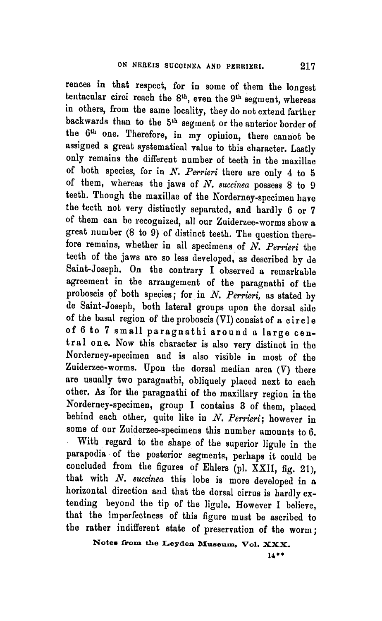With regard to the shape of the superior ligule in the parapodia of the posterior segments, perhaps it could be concluded from the figures of Ehlers (pl. XXII, fig. 21), that with  $N$ . succinea this lobe is more developed in a horizontal direction and that the dorsal cirrus is hardly extending beyond the tip of the ligule. However I believe, that the imperfectness of this figure must be ascribed to the rather indifferent state of preservation of the worm; rences in that respect, for in some of them the longest tentacular circi reach the 8<sup>th</sup>, even the 9<sup>th</sup> segment, whereas in others, from the same locality, they do not extend farther backwards than to the 5<sup>th</sup> segment or the anterior border of the 6<sup>th</sup> one. Therefore, in my opinion, there cannot be assigned <sup>a</sup> great systematical value to this character. Lastly only remains the different number of teeth in the maxillae of both species, for in  $N$ . Perrieri there are only 4 to 5 of them, whereas the jaws of  $N$ . succinea possess 8 to 9 teeth. Though the maxillae of the Norderney-specimen have the teeth not very distinctly separated, and hardly <sup>6</sup> or <sup>7</sup> of them can be recognized, all our Zuiderzee-worms show <sup>a</sup> great number (8 to 9) of distinct teeth. The question therefore remains, whether in all specimens of N. Perrieri the teeth of the jaws are so less developed, as described by de Saint-Joseph. On the contrary I observed <sup>a</sup> remarkable agreement in the arrangement of the paragnathi of the proboscis of both species; for in  $N$ . Perrieri, as stated by de Saint-Joseph, both lateral groups upon the dorsal side of the basal region of the proboscis (VI) consist of <sup>a</sup> circle of <sup>6</sup> to <sup>7</sup> small paragnathi around <sup>a</sup> large central one. Now this character is also very distinct in the Norderney-specimen and is also visible in most of the Zuiderzee-worms. Upon the dorsal median area (V) there are usually two paragnathi, obliquely placed next to each other. As for the paragnathi of the maxillary region in the Norderney-specimen, group I contains 3 of them, placed behind each other, quite like in  $N$ . Perrieri; however in some of our Zuiderzee-specimens this number amounts to 6.

Notes from the Leyden Museum, Vol. XXX.

14\*\*